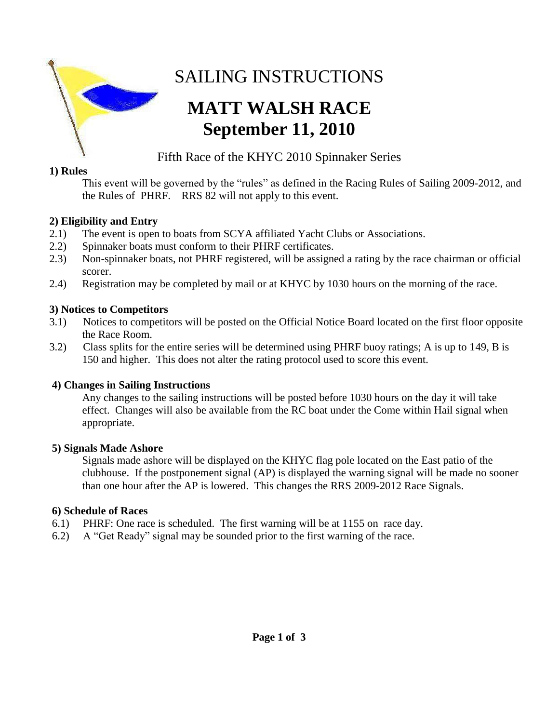

# SAILING INSTRUCTIONS

# **MATT WALSH RACE September 11, 2010**

# Fifth Race of the KHYC 2010 Spinnaker Series

# **1) Rules**

This event will be governed by the "rules" as defined in the Racing Rules of Sailing 2009-2012, and the Rules of PHRF. RRS 82 will not apply to this event.

# **2) Eligibility and Entry**

- 2.1) The event is open to boats from SCYA affiliated Yacht Clubs or Associations.
- 2.2) Spinnaker boats must conform to their PHRF certificates.
- 2.3) Non-spinnaker boats, not PHRF registered, will be assigned a rating by the race chairman or official scorer.
- 2.4) Registration may be completed by mail or at KHYC by 1030 hours on the morning of the race.

# **3) Notices to Competitors**

- 3.1) Notices to competitors will be posted on the Official Notice Board located on the first floor opposite the Race Room.
- 3.2) Class splits for the entire series will be determined using PHRF buoy ratings; A is up to 149, B is 150 and higher. This does not alter the rating protocol used to score this event.

# **4) Changes in Sailing Instructions**

Any changes to the sailing instructions will be posted before 1030 hours on the day it will take effect. Changes will also be available from the RC boat under the Come within Hail signal when appropriate.

# **5) Signals Made Ashore**

 Signals made ashore will be displayed on the KHYC flag pole located on the East patio of the clubhouse. If the postponement signal (AP) is displayed the warning signal will be made no sooner than one hour after the AP is lowered. This changes the RRS 2009-2012 Race Signals.

# **6) Schedule of Races**

- 6.1) PHRF: One race is scheduled. The first warning will be at 1155 on race day.
- 6.2) A "Get Ready" signal may be sounded prior to the first warning of the race.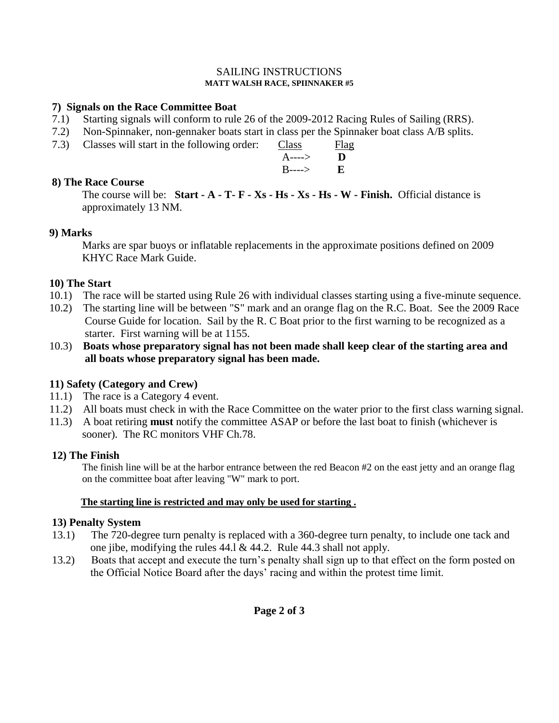#### SAILING INSTRUCTIONS **MATT WALSH RACE, SPIINNAKER #5**

### **7) Signals on the Race Committee Boat**

- 7.1) Starting signals will conform to rule 26 of the 2009-2012 Racing Rules of Sailing (RRS).
- 7.2) Non-Spinnaker, non-gennaker boats start in class per the Spinnaker boat class A/B splits.<br>7.3) Classes will start in the following order: Class Flag
- 7.3) Classes will start in the following order: Class

| $\mu$ start in the following order.<br>Canto V | a aa                                        |
|------------------------------------------------|---------------------------------------------|
|                                                |                                             |
|                                                |                                             |
|                                                | $A \rightarrow \mathbf{D}$<br>$B$ ----> $E$ |

## **8) The Race Course**

The course will be: **Start - A - T- F - Xs - Hs - Xs - Hs - W - Finish.** Official distance is approximately 13 NM.

#### **9) Marks**

 Marks are spar buoys or inflatable replacements in the approximate positions defined on 2009 KHYC Race Mark Guide.

#### **10) The Start**

- 10.1) The race will be started using Rule 26 with individual classes starting using a five-minute sequence.
- 10.2) The starting line will be between "S" mark and an orange flag on the R.C. Boat. See the 2009 Race Course Guide for location. Sail by the R. C Boat prior to the first warning to be recognized as a starter. First warning will be at 1155.
- 10.3) **Boats whose preparatory signal has not been made shall keep clear of the starting area and all boats whose preparatory signal has been made.**

### **11) Safety (Category and Crew)**

- 11.1) The race is a Category 4 event.
- 11.2) All boats must check in with the Race Committee on the water prior to the first class warning signal.
- 11.3) A boat retiring **must** notify the committee ASAP or before the last boat to finish (whichever is sooner). The RC monitors VHF Ch.78.

#### **12) The Finish**

 The finish line will be at the harbor entrance between the red Beacon #2 on the east jetty and an orange flag on the committee boat after leaving "W" mark to port.

#### **The starting line is restricted and may only be used for starting .**

#### **13) Penalty System**

- 13.1) The 720-degree turn penalty is replaced with a 360-degree turn penalty, to include one tack and one jibe, modifying the rules 44.l & 44.2. Rule 44.3 shall not apply.
- 13.2) Boats that accept and execute the turn's penalty shall sign up to that effect on the form posted on the Official Notice Board after the days' racing and within the protest time limit.